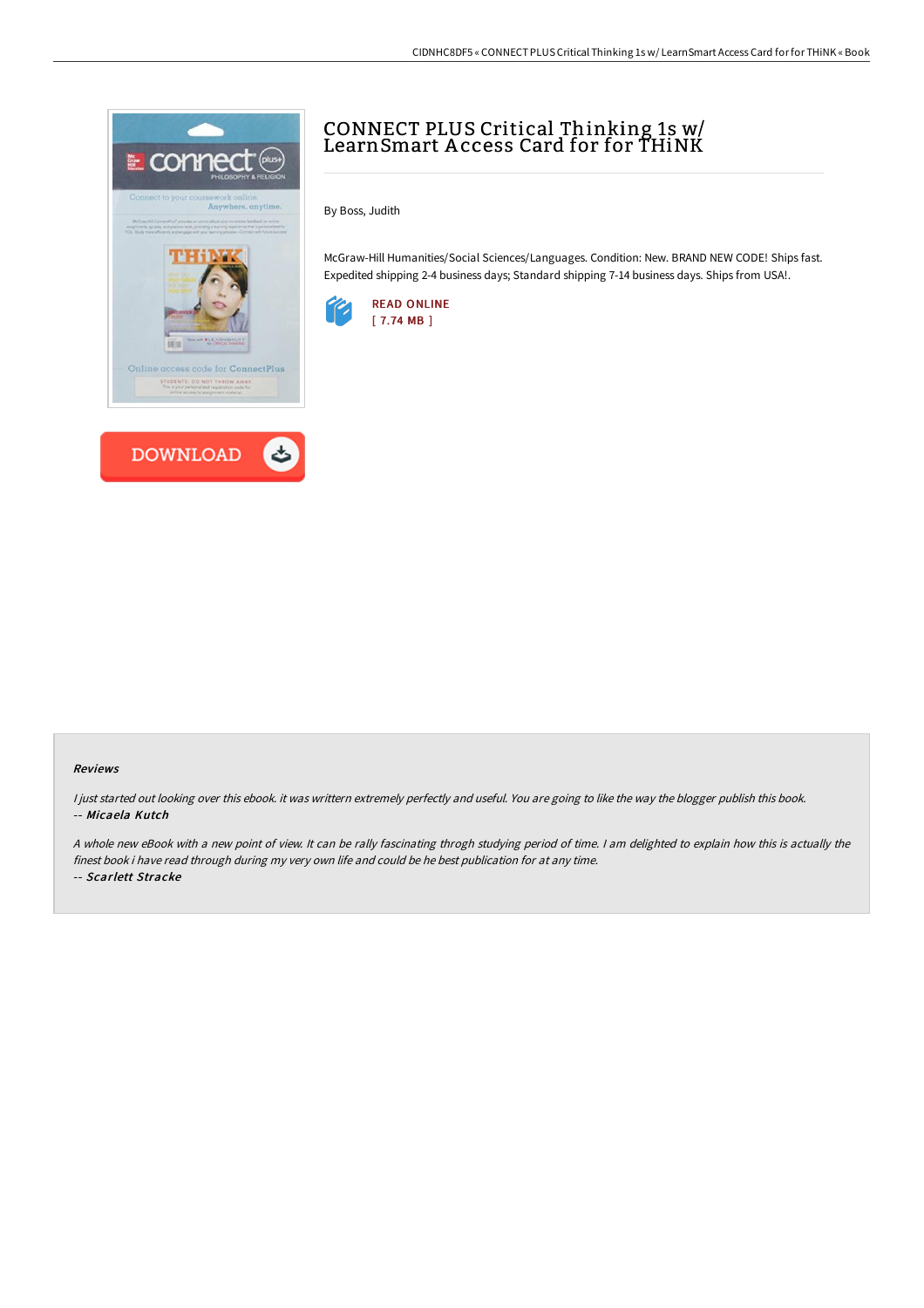



## CONNECT PLUS Critical Thinking 1s w/ LearnSmart A ccess Card for for THiNK

By Boss, Judith

McGraw-Hill Humanities/Social Sciences/Languages. Condition: New. BRAND NEW CODE! Ships fast. Expedited shipping 2-4 business days; Standard shipping 7-14 business days. Ships from USA!.



## Reviews

I just started out looking over this ebook. it was writtern extremely perfectly and useful. You are going to like the way the blogger publish this book. -- Micaela Kutch

<sup>A</sup> whole new eBook with <sup>a</sup> new point of view. It can be rally fascinating throgh studying period of time. <sup>I</sup> am delighted to explain how this is actually the finest book i have read through during my very own life and could be he best publication for at any time.

-- Scarlett Stracke